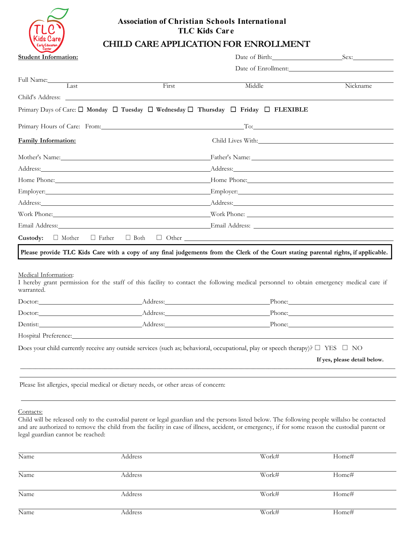

# **Association of Christian Schools International TLC Kids Car e**

# **CHILD CARE APPLICATIONFOR ENROLLMENT**

| <b>Student Information:</b>                                                                                                                                                   |       | Date of Birth: New York 1988                                                                                                                                                                                                   | Sex:                         |  |
|-------------------------------------------------------------------------------------------------------------------------------------------------------------------------------|-------|--------------------------------------------------------------------------------------------------------------------------------------------------------------------------------------------------------------------------------|------------------------------|--|
|                                                                                                                                                                               |       |                                                                                                                                                                                                                                | Date of Enrollment:          |  |
| Full Name:                                                                                                                                                                    |       |                                                                                                                                                                                                                                |                              |  |
| $\overline{1}$ ast                                                                                                                                                            | First | Middle                                                                                                                                                                                                                         | Nickname                     |  |
| Child's Address:                                                                                                                                                              |       |                                                                                                                                                                                                                                |                              |  |
| Primary Days of Care: $\Box$ Monday $\Box$ Tuesday $\Box$ Wednesday $\Box$ Thursday $\Box$ Friday $\Box$ FLEXIBLE                                                             |       |                                                                                                                                                                                                                                |                              |  |
| Primary Hours of Care: From: Management of Care: Trom: Management of Care: Trom:                                                                                              |       | $\Gamma$ o:                                                                                                                                                                                                                    |                              |  |
| <b>Family Information:</b>                                                                                                                                                    |       | Child Lives With: Child Lives With:                                                                                                                                                                                            |                              |  |
|                                                                                                                                                                               |       | Mother's Name: Eather's Name: Eather's Name: Eather's Name: Eather's Name: Contract in the Same of the Same of the Same of the Same of the Same of the Same of the Same of the Same of the Same of the Same of the Same of the |                              |  |
|                                                                                                                                                                               |       |                                                                                                                                                                                                                                |                              |  |
|                                                                                                                                                                               |       | Home Phone: Mome Phone: Mome Phone: Mome Phone: Mome Phone: Mome Phone: Mome Phone: Mome Phone: Mome Phone: Mome Phone: Mome Phone: Mome Phone: Mome Phone: Mome Phone: Mome Phone: Mome Phone: Mome Phone: Mome Phone: Mome P |                              |  |
|                                                                                                                                                                               |       |                                                                                                                                                                                                                                |                              |  |
|                                                                                                                                                                               |       |                                                                                                                                                                                                                                |                              |  |
|                                                                                                                                                                               |       |                                                                                                                                                                                                                                |                              |  |
|                                                                                                                                                                               |       |                                                                                                                                                                                                                                |                              |  |
| <b>Custody:</b> $\Box$ Mother $\Box$ Father $\Box$ Both $\Box$ Other                                                                                                          |       |                                                                                                                                                                                                                                |                              |  |
| Please provide TLC Kids Care with a copy of any final judgements from the Clerk of the Court stating parental rights, if applicable.                                          |       |                                                                                                                                                                                                                                |                              |  |
| Medical Information:<br>I hereby grant permission for the staff of this facility to contact the following medical personnel to obtain emergency medical care if<br>warranted. |       |                                                                                                                                                                                                                                |                              |  |
|                                                                                                                                                                               |       |                                                                                                                                                                                                                                |                              |  |
|                                                                                                                                                                               |       |                                                                                                                                                                                                                                |                              |  |
|                                                                                                                                                                               |       |                                                                                                                                                                                                                                |                              |  |
| Hospital Preference: National Assembly Preference: National Assembly Preference:                                                                                              |       |                                                                                                                                                                                                                                |                              |  |
| Does your child currently receive any outside services (such as; behavioral, occupational, play or speech therapy)? $\Box$ YES $\Box$ NO                                      |       |                                                                                                                                                                                                                                |                              |  |
|                                                                                                                                                                               |       |                                                                                                                                                                                                                                | If yes, please detail below. |  |
|                                                                                                                                                                               |       |                                                                                                                                                                                                                                |                              |  |
| Please list allergies, special medical or dietary needs, or other areas of concern:                                                                                           |       |                                                                                                                                                                                                                                |                              |  |
|                                                                                                                                                                               |       |                                                                                                                                                                                                                                |                              |  |

Contacts:

Child will be released only to the custodial parent or legal guardian and the persons listed below. The following people willalso be contacted and are authorized to remove the child from the facility in case of illness, accident, or emergency, if for some reason the custodial parent or legal guardian cannot be reached:

| Name | Address | Work# | Home# |
|------|---------|-------|-------|
| Name | Address | Work# | Home# |
| Name | Address | Work# | Home# |
| Name | Address | Work# | Home# |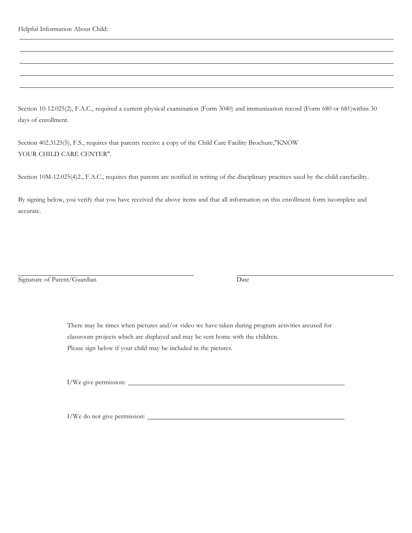Helpful Information About Child:

Section 10-12.025(2), F.A.C., required a current physical examination (Form 3040) and immunization record (Form 680 or 681)within 30 days of enrollment.

Section 402.3125(5), F.S., requires that parents receive a copy of the Child Care Facility Brochure,"KNOW YOUR CHILD CARE CENTER".

Section 10M-12.025(4)2., F.A.C., requires that parents are notified in writing of the disciplinary practices used by the child carefacility.

By signing below, you verify that you have received the above items and that all information on this enrollment form iscomplete and accurate.

Signature of Parent/Guardian Date

There may be times when pictures and/or video we have taken during program activities areused for classroom projects which are displayed and may be sent home with the children. Please sign below if your child may be included in the pictures.

I/We give permission:

I/We do not give permission: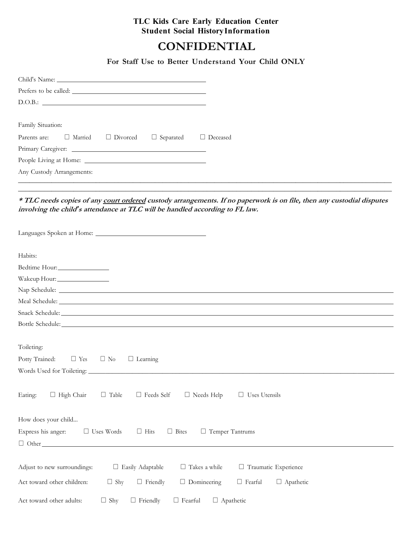# **TLC Kids Care Early Education Center Student Social HistoryInformation**

# **CONFIDENTIAL**

**For Staff Use to Better Understand Your Child ONLY**

| Family Situation: |                           |                                             |                  |                 |
|-------------------|---------------------------|---------------------------------------------|------------------|-----------------|
|                   |                           | Parents are: $\Box$ Married $\Box$ Divorced | $\Box$ Separated | $\Box$ Deceased |
|                   |                           |                                             |                  |                 |
|                   |                           |                                             |                  |                 |
|                   | Any Custody Arrangements: |                                             |                  |                 |
|                   |                           |                                             |                  |                 |

## **\* TLC needs copies of any court ordered custody arrangements. If no paperwork is on file, then any custodial disputes involving the child***'***s attendance at TLC will be handled according to FL law.**

\_\_\_\_\_\_\_\_\_\_\_\_\_\_\_\_\_\_\_\_\_\_\_\_\_\_\_\_\_\_\_\_\_\_\_\_\_\_\_\_\_\_\_\_\_\_\_\_\_\_\_\_\_\_\_\_\_\_\_\_\_\_\_\_\_\_\_\_\_\_\_\_\_\_\_\_\_\_\_\_\_\_\_\_\_\_\_\_\_\_\_\_\_\_\_\_\_\_\_\_\_

| Habits:                                                                                                                 |
|-------------------------------------------------------------------------------------------------------------------------|
|                                                                                                                         |
| Wakeup Hour:                                                                                                            |
|                                                                                                                         |
|                                                                                                                         |
|                                                                                                                         |
| Bottle Schedule: National Communication of the Schedule:                                                                |
|                                                                                                                         |
| Toileting:                                                                                                              |
| Potty Trained:<br>$\Box$ Yes<br>$\Box$ No<br>$\Box$ Learning                                                            |
|                                                                                                                         |
|                                                                                                                         |
| $\Box$ Needs Help<br>$\Box$ High Chair<br>$\Box$ Table<br>$\Box$ Feeds Self<br>$\Box$ Uses Utensils<br>Eating:          |
|                                                                                                                         |
| How does your child                                                                                                     |
| Express his anger: $\Box$ Uses Words<br>$\Box$ Hits<br>$\Box$ Bites<br>$\Box$ Temper Tantrums                           |
|                                                                                                                         |
|                                                                                                                         |
| $\Box$ Easily Adaptable<br>$\Box$ Takes a while<br>Traumatic Experience<br>Adjust to new surroundings:                  |
|                                                                                                                         |
| $\Box$ Domineering<br>Act toward other children:<br>$\Box$ Shy<br>$\Box$ Friendly<br>$\Box$ Fearful<br>$\Box$ Apathetic |
| $\Box$ Shy<br>$\Box$ Friendly<br>$\Box$ Apathetic<br>Act toward other adults:<br>$\Box$ Fearful                         |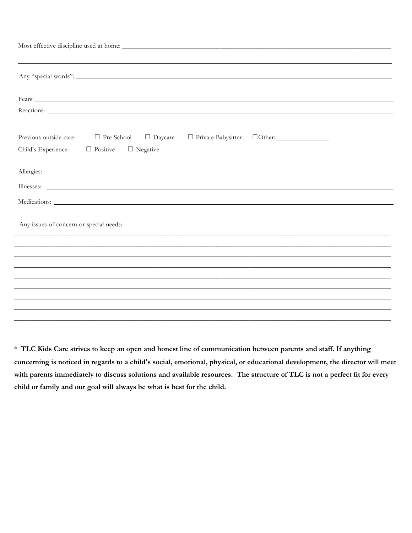| Fears: <u>Container and Communications</u> and Communications and Communications and Communications and Communications and Communications and Communications and Communications and Communications and Communications and Communica |
|-------------------------------------------------------------------------------------------------------------------------------------------------------------------------------------------------------------------------------------|
|                                                                                                                                                                                                                                     |
| $\Box$ Pre-School $\Box$ Daycare<br>Previous outside care:                                                                                                                                                                          |
| Child's Experience: $\Box$ Positive $\Box$ Negative                                                                                                                                                                                 |
|                                                                                                                                                                                                                                     |
|                                                                                                                                                                                                                                     |
|                                                                                                                                                                                                                                     |
|                                                                                                                                                                                                                                     |
|                                                                                                                                                                                                                                     |
| Any issues of concern or special needs:                                                                                                                                                                                             |
|                                                                                                                                                                                                                                     |
|                                                                                                                                                                                                                                     |
|                                                                                                                                                                                                                                     |
|                                                                                                                                                                                                                                     |
|                                                                                                                                                                                                                                     |
|                                                                                                                                                                                                                                     |
|                                                                                                                                                                                                                                     |

\* **TLC Kids Care strives to keep an open and honest line of communication between parents and staff. If anything concerning is noticed in regards to a child's social, emotional, physical, or educational development, the director will meet with parents immediately to discuss solutions and available resources. The structure of TLC is not a perfect fit for every child or family and our goal will always be what is best for the child.**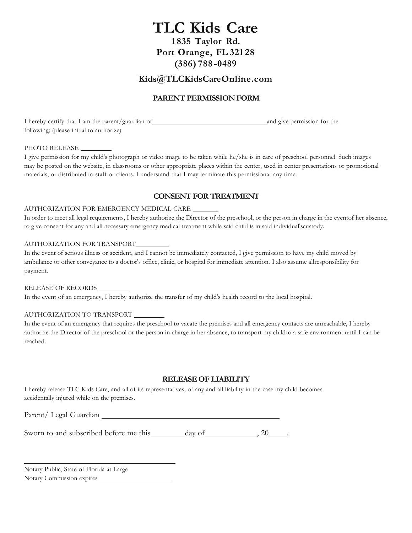# **TLC Kids Care 1 835 Taylor Rd. Port Orange, FL 321 28 (386) 788 -0489**

# **Kids@TLCKidsCareOnline.com**

## **PARENT PERMISSIONFORM**

I hereby certify that I am the parent/guardian of and give permission for the following; (please initial to authorize)

#### PHOTO RELEASE

I give permission for my child's photograph or video image to be taken while he/she is in care of preschool personnel. Such images may be posted on the website, in classrooms or other appropriate places within the center, used in center presentations or promotional materials, or distributed to staff or clients. I understand that I may terminate this permissionat any time.

### **CONSENT FOR TREATMENT**

#### AUTHORIZATION FOR EMERGENCY MEDICAL CARE

In order to meet all legal requirements, I hereby authorize the Director of the preschool, or the person in charge in the eventof her absence, to give consent for any and all necessary emergency medical treatment while said child is in said individual'scustody.

#### AUTHORIZATION FOR TRANSPORT

In the event of serious illness or accident, and I cannot be immediately contacted, I give permission to have my child moved by ambulance or other conveyance to a doctor's office, clinic, or hospital for immediate attention. I also assume allresponsibility for payment.

## RELEASE OF RECORDS

In the event of an emergency, I hereby authorize the transfer of my child's health record to the local hospital.

#### AUTHORIZATION TO TRANSPORT

In the event of an emergency that requires the preschool to vacate the premises and all emergency contacts are unreachable, I hereby authorize the Director of the preschool or the person in charge in her absence, to transport my childto a safe environment until I can be reached.

#### **RELEASEOF LIABILITY**

I hereby release TLC Kids Care, and all of its representatives, of any and all liability in the case my child becomes accidentally injured while on the premises.

Parent/ Legal Guardian

| Sworn to and subscribed before me this | day of |  |
|----------------------------------------|--------|--|
|----------------------------------------|--------|--|

Notary Public, State of Florida at Large Notary Commission expires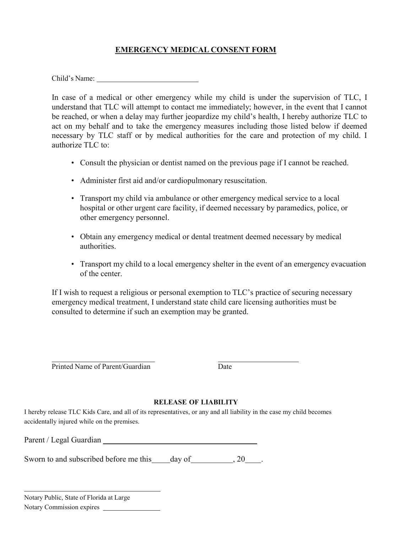# **EMERGENCY MEDICAL CONSENT FORM**

Child's Name:

In case of a medical or other emergency while my child is under the supervision of TLC, I understand that TLC will attempt to contact me immediately; however, in the event that I cannot be reached, or when a delay may further jeopardize my child's health, I hereby authorize TLC to act on my behalf and to take the emergency measures including those listed below if deemed necessary by TLC staff or by medical authorities for the care and protection of my child. I authorize  $TLC$  to:

- Consult the physician or dentist named on the previous page if I cannot be reached.
- Administer first aid and/or cardiopulmonary resuscitation.
- Transport my child via ambulance or other emergency medical service to a local hospital or other urgent care facility, if deemed necessary by paramedics, police, or other emergency personnel.
- Obtain any emergency medical or dental treatment deemed necessary by medical authorities.
- Transport my child to a local emergency shelter in the event of an emergency evacuation of the center.

If I wish to request a religious or personal exemption to TLC's practice of securing necessary emergency medical treatment, I understand state child care licensing authorities must be consulted to determine if such an exemption may be granted.

Printed Name of Parent/Guardian Date

## **RELEASE OF LIABILITY**

I hereby release TLC Kids Care, and all of its representatives, or any and all liability in the case my child becomes accidentally injured while on the premises.

Parent / Legal Guardian

Sworn to and subscribed before me this day of , 20 .

| Notary Public, State of Florida at Large |  |
|------------------------------------------|--|
| Notary Commission expires                |  |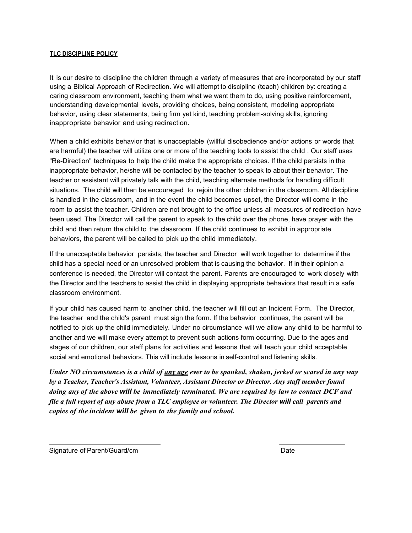#### **TLC DISCIPLINE POLICY**

It is our desire to discipline the children through a variety of measures that are incorporated by our staff using a Biblical Approach of Redirection. We will attempt to discipline (teach) children by: creating a caring classroom environment, teaching them what we want them to do, using positive reinforcement, understanding developmental levels, providing choices, being consistent, modeling appropriate behavior, using clear statements, being firm yet kind, teaching problem-solving skills, ignoring inappropriate behavior and using redirection.

When a child exhibits behavior that is unacceptable (willful disobedience and/or actions or words that are harmful) the teacher will utilize one or more of the teaching tools to assist the child . Our staff uses "Re-Direction" techniques to help the child make the appropriate choices. If the child persists in the inappropriate behavior, he/she will be contacted by the teacher to speak to about their behavior. The teacher or assistant will privately talk with the child, teaching alternate methods for handling difficult situations. The child will then be encouraged to rejoin the other children in the classroom. All discipline is handled in the classroom, and in the event the child becomes upset, the Director will come in the room to assist the teacher. Children are not brought to the office unless all measures of redirection have been used. The Director will call the parent to speak to the child over the phone, have prayer with the child and then return the child to the classroom. If the child continues to exhibit in appropriate behaviors, the parent will be called to pick up the child immediately.

If the unacceptable behavior persists, the teacher and Director will work together to determine if the child has a special need or an unresolved problem that is causing the behavior. If in their opinion a conference is needed, the Director will contact the parent. Parents are encouraged to work closely with the Director and the teachers to assist the child in displaying appropriate behaviors that result in a safe classroom environment.

If your child has caused harm to another child, the teacher will fill out an Incident Form. The Director, the teacher and the child's parent must sign the form. If the behavior continues, the parent will be notified to pick up the child immediately. Under no circumstance will we allow any child to be harmful to another and we will make every attempt to prevent such actions form occurring. Due to the ages and stages of our children, our staff plans for activities and lessons that will teach your child acceptable social and emotional behaviors. This will include lessons in self-control and listening skills.

*Under NO circumstances is a child of any age ever to be spanked, shaken, jerked or scared in any way by a Teacher, Teacher's Assistant, Volunteer, Assistant Director or Director. Any staff member found doing any of the above will be immediately terminated. We are required by law to contact DCF and file a full report of any abuse from a TLC employee or volunteer. The Director will call parents and copies of the incident will be given to the family and school.*

Signature of Parent/Guard/cm Date by Contract the Contract of Parent/Guard/cm Date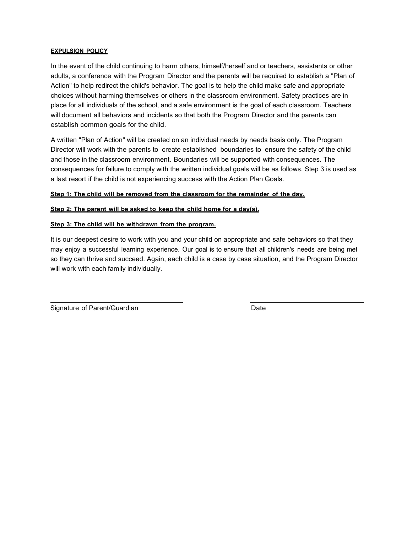#### **EXPULSION POLICY**

In the event of the child continuing to harm others, himself/herself and or teachers, assistants or other adults, a conference with the Program Director and the parents will be required to establish a "Plan of Action" to help redirect the child's behavior. The goal is to help the child make safe and appropriate choices without harming themselves or others in the classroom environment. Safety practices are in place for all individuals of the school, and a safe environment is the goal of each classroom. Teachers will document all behaviors and incidents so that both the Program Director and the parents can establish common goals for the child.

A written "Plan of Action" will be created on an individual needs by needs basis only. The Program Director will work with the parents to create established boundaries to ensure the safety of the child and those in the classroom environment. Boundaries will be supported with consequences. The consequences for failure to comply with the written individual goals will be as follows. Step 3 is used as a last resort if the child is not experiencing success with the Action Plan Goals.

**Step 1: The child will be removed from the classroom for the remainder of the day.**

**Step 2: The parent will be asked to keep the child home for a day(s).**

#### **Step 3: The child will be withdrawn from the program.**

It is our deepest desire to work with you and your child on appropriate and safe behaviors so that they may enjoy a successful learning experience. Our goal is to ensure that all children's needs are being met so they can thrive and succeed. Again, each child is a case by case situation, and the Program Director will work with each family individually.

Signature of Parent/Guardian Date Date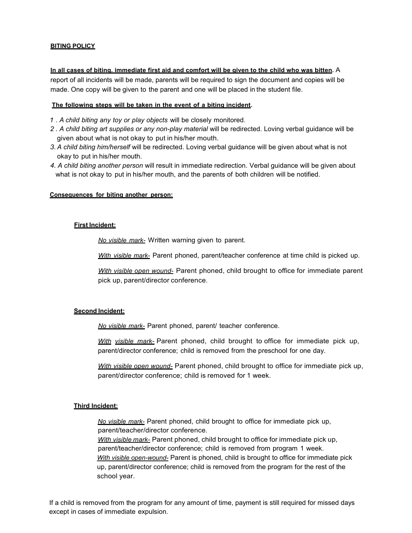#### **BITING POLICY**

#### **In all cases of biting. immediate first aid and comfort will be given to the child who was bitten.** A

report of all incidents will be made, parents will be required to sign the document and copies will be made. One copy will be given to the parent and one will be placed in the student file.

#### **The following steps will be taken in the event of a biting incident.**

- *1 . A child biting any toy or play objects* will be closely monitored.
- *2 . A child biting art supplies or any non-play material* will be redirected. Loving verbal guidance will be given about what is not okay to put in his/her mouth.
- *3. A child biting him/herself* will be redirected. Loving verbal guidance will be given about what is not okay to put in his/her mouth.
- *4. A child biting another person* will result in immediate redirection. Verbal guidance will be given about what is not okay to put in his/her mouth, and the parents of both children will be notified.

#### **Consequences for biting another person:**

#### **First Incident:**

*No visible mark-* Written warning given to parent.

*With visible mark-* Parent phoned, parent/teacher conference at time child is picked up.

*With visible open wound-* Parent phoned, child brought to office for immediate parent pick up, parent/director conference.

#### **Second Incident:**

*No visible mark-* Parent phoned, parent/ teacher conference.

*With visible mark-* Parent phoned, child brought to office for immediate pick up, parent/director conference; child is removed from the preschool for one day.

*With visible open wound-* Parent phoned, child brought to office for immediate pick up, parent/director conference; child is removed for 1 week.

#### **Third Incident:**

*No visible mark-* Parent phoned, child brought to office for immediate pick up, parent/teacher/director conference. *With visible mark-* Parent phoned, child brought to office for immediate pick up, parent/teacher/director conference; child is removed from program 1 week. *With visible open-wound-* Parent is phoned, child is brought to office for immediate pick up, parent/director conference; child is removed from the program for the rest of the

school year.

If a child is removed from the program for any amount of time, payment is still required for missed days except in cases of immediate expulsion.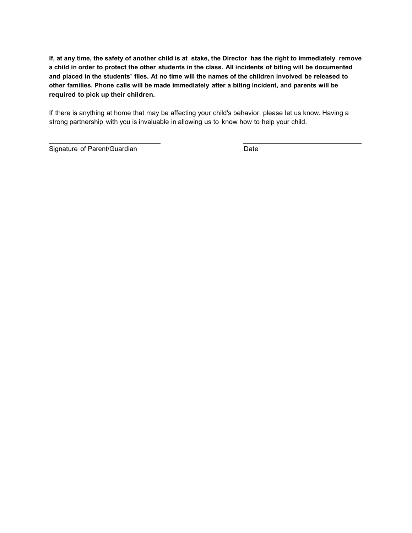**If, at any time, the safety of another child is at stake, the Director has the right to immediately remove** a child in order to protect the other students in the class. All incidents of biting will be documented and placed in the students' files. At no time will the names of the children involved be released to **other families. Phone calls will be made immediately after a biting incident, and parents will be required to pick up their children.**

If there is anything at home that may be affecting your child's behavior, please let us know. Having a strong partnership with you is invaluable in allowing us to know how to help your child.

Signature of Parent/Guardian Date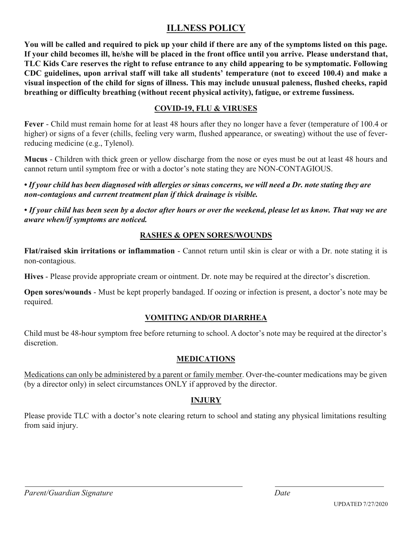# **ILLNESS POLICY**

**You will be called and required to pick up your child if there are any of the symptoms listed on this page. If your child becomes ill, he/she will be placed in the front office until you arrive. Please understand that, TLC Kids Care reserves the right to refuse entrance to any child appearing to be symptomatic. Following CDC guidelines, upon arrival staff will take all students' temperature (not to exceed 100.4) and make a visual inspection of the child for signs of illness. This may include unusual paleness, flushed cheeks, rapid breathing or difficulty breathing (without recent physical activity), fatigue, or extreme fussiness.**

# **COVID-19, FLU & VIRUSES**

**Fever** - Child must remain home for at least 48 hours after they no longer have a fever (temperature of 100.4 or higher) or signs of a fever (chills, feeling very warm, flushed appearance, or sweating) without the use of feverreducing medicine (e.g., Tylenol).

**Mucus** - Children with thick green or yellow discharge from the nose or eyes must be out at least 48 hours and cannot return until symptom free or with a doctor's note stating they are NON-CONTAGIOUS.

• If your child has been diagnosed with allergies or sinus concerns, we will need a Dr. note stating they are *non-contagious and current treatment plan if thick drainage is visible.*

• If your child has been seen by a doctor after hours or over the weekend, please let us know. That way we are *aware when/if symptoms are noticed.*

# **RASHES & OPEN SORES/WOUNDS**

**Flat/raised skin irritations or inflammation** - Cannot return until skin is clear or with a Dr. note stating it is non-contagious.

**Hives** - Please provide appropriate cream or ointment. Dr. note may be required at the director's discretion.

**Open sores/wounds** - Must be kept properly bandaged. If oozing or infection is present, a doctor's note may be required.

# **VOMITING AND/OR DIARRHEA**

Child must be 48-hour symptom free before returning to school. A doctor's note may be required at the director's discretion.

# **MEDICATIONS**

Medications can only be administered by a parent or family member. Over-the-counter medications may be given (by a director only) in select circumstances ONLY if approved by the director.

# **INJURY**

Please provide TLC with a doctor's note clearing return to school and stating any physical limitations resulting from said injury.